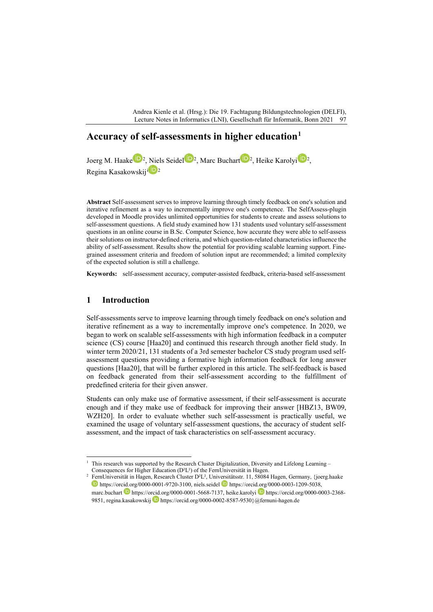Andrea Kienle et al. (Hrsg.): Die 19. Fachtagung Bildungstechnologien (DELFI), Lecture Notes in Informatics (LNI), Gesellschaft für Informatik, Bonn 2021 97

# **Accuracy of self-assessments in higher education[1](#page-0-0)**

Joerg M. Haake <sup>191[2](#page-0-1)</sup>, Niels Seidel <sup>192</sup>, Marc Buchart <sup>192</sup>, Heike Karolyi <sup>1912</sup>, Reg[i](#page-11-0)na Kasakowskiji<sup>D</sup><sup>2</sup>

**Abstract** Self-assessment serves to improve learning through timely feedback on one's solution and iterative refinement as a way to incrementally improve one's competence. The SelfAssess-plugin developed in Moodle provides unlimited opportunities for students to create and assess solutions to self-assessment questions. A field study examined how 131 students used voluntary self-assessment questions in an online course in B.Sc. Computer Science, how accurate they were able to self-assess their solutions on instructor-defined criteria, and which question-related characteristics influence the ability of self-assessment. Results show the potential for providing scalable learning support. Finegrained assessment criteria and freedom of solution input are recommended; a limited complexity of the expected solution is still a challenge.

**Keywords:** self-assessment accuracy, computer-assisted feedback, criteria-based self-assessment

### **1 Introduction**

Self-assessments serve to improve learning through timely feedback on one's solution and iterative refinement as a way to incrementally improve one's competence. In 2020, we began to work on scalable self-assessments with high information feedback in a computer science (CS) course [Haa20] and continued this research through another field study. In winter term 2020/21, 131 students of a 3rd semester bachelor CS study program used selfassessment questions providing a formative high information feedback for long answer questions [Haa20], that will be further explored in this article. The self-feedback is based on feedback generated from their self-assessment according to the fulfillment of predefined criteria for their given answer.

Students can only make use of formative assessment, if their self-assessment is accurate enough and if they make use of feedback for improving their answer [HBZ13, BW09, WZH20]. In order to evaluate whether such self-assessment is practically useful, we examined the usage of voluntary self-assessment questions, the accuracy of student selfassessment, and the impact of task characteristics on self-assessment accuracy.

<span id="page-0-0"></span><sup>&</sup>lt;sup>1</sup> This research was supported by the Research Cluster Digitalization, Diversity and Lifelong Learning – Consequences for Higher Education (D²L²) of the FernUniversität in Hagen.

<span id="page-0-1"></span><sup>2</sup> FernUniversität in Hagen, Research Cluster D²L², Universitätsstr. 11, 58084 Hagen, Germany, {joerg.haake  $\bullet$  https://orcid.org/0000-0001-9720-3100, niels.seidel  $\bullet$  https://orcid.org/0000-0003-1209-5038, marc.buchart https://orcid.org/0000-0001-5668-7137, heike.karolyi https://orcid.org/0000-0003-2368-9851, regina.kasakowskij **b** https://orcid.org/0000-0002-8587-9530}@fernuni-hagen.de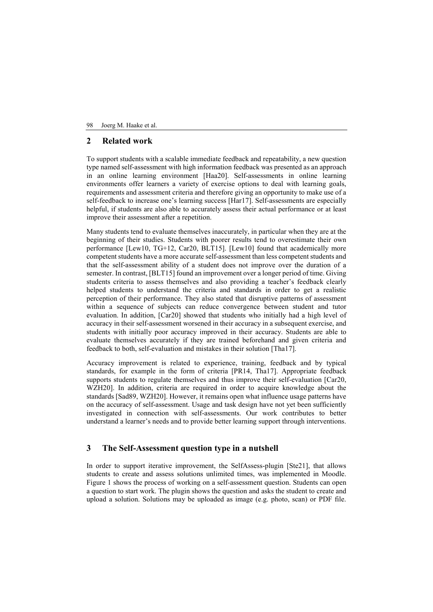## **2 Related work**

To support students with a scalable immediate feedback and repeatability, a new question type named self-assessment with high information feedback was presented as an approach in an online learning environment [Haa20]. Self-assessments in online learning environments offer learners a variety of exercise options to deal with learning goals, requirements and assessment criteria and therefore giving an opportunity to make use of a self-feedback to increase one's learning success [Har17]. Self-assessments are especially helpful, if students are also able to accurately assess their actual performance or at least improve their assessment after a repetition.

Many students tend to evaluate themselves inaccurately, in particular when they are at the beginning of their studies. Students with poorer results tend to overestimate their own performance [Lew10, TG+12, Car20, BLT15]. [Lew10] found that academically more competent students have a more accurate self-assessment than less competent students and that the self-assessment ability of a student does not improve over the duration of a semester. In contrast, [BLT15] found an improvement over a longer period of time. Giving students criteria to assess themselves and also providing a teacher's feedback clearly helped students to understand the criteria and standards in order to get a realistic perception of their performance. They also stated that disruptive patterns of assessment within a sequence of subjects can reduce convergence between student and tutor evaluation. In addition, [Car20] showed that students who initially had a high level of accuracy in their self-assessment worsened in their accuracy in a subsequent exercise, and students with initially poor accuracy improved in their accuracy. Students are able to evaluate themselves accurately if they are trained beforehand and given criteria and feedback to both, self-evaluation and mistakes in their solution [Tha17].

Accuracy improvement is related to experience, training, feedback and by typical standards, for example in the form of criteria [PR14, Tha17]. Appropriate feedback supports students to regulate themselves and thus improve their self-evaluation [Car20, WZH20]. In addition, criteria are required in order to acquire knowledge about the standards [Sad89, WZH20]. However, it remains open what influence usage patterns have on the accuracy of self-assessment. Usage and task design have not yet been sufficiently investigated in connection with self-assessments. Our work contributes to better understand a learner's needs and to provide better learning support through interventions.

## **3 The Self-Assessment question type in a nutshell**

In order to support iterative improvement, the SelfAssess-plugin [Ste21], that allows students to create and assess solutions unlimited times, was implemented in Moodle. Figure 1 shows the process of working on a self-assessment question. Students can open a question to start work. The plugin shows the question and asks the student to create and upload a solution. Solutions may be uploaded as image (e.g. photo, scan) or PDF file.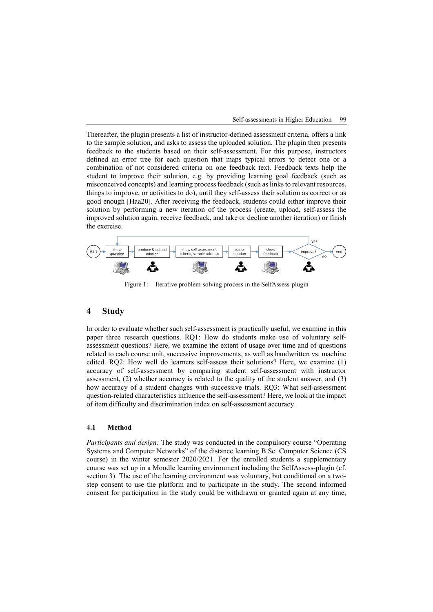

Thereafter, the plugin presents a list of instructor-defined assessment criteria, offers a link to the sample solution, and asks to assess the uploaded solution. The plugin then presents feedback to the students based on their self-assessment. For this purpose, instructors defined an error tree for each question that maps typical errors to detect one or a combination of not considered criteria on one feedback text. Feedback texts help the student to improve their solution, e.g. by providing learning goal feedback (such as misconceived concepts) and learning process feedback (such as links to relevant resources, things to improve, or activities to do), until they self-assess their solution as correct or as good enough [Haa20]. After receiving the feedback, students could either improve their solution by performing a new iteration of the process (create, upload, self-assess the improved solution again, receive feedback, and take or decline another iteration) or finish the exercise.



Figure 1: Iterative problem-solving process in the SelfAssess-plugin

### **4 Study**

In order to evaluate whether such self-assessment is practically useful, we examine in this paper three research questions. RQ1: How do students make use of voluntary selfassessment questions? Here, we examine the extent of usage over time and of questions related to each course unit, successive improvements, as well as handwritten vs. machine edited. RQ2: How well do learners self-assess their solutions? Here, we examine (1) accuracy of self-assessment by comparing student self-assessment with instructor assessment, (2) whether accuracy is related to the quality of the student answer, and (3) how accuracy of a student changes with successive trials. RQ3: What self-assessment question-related characteristics influence the self-assessment? Here, we look at the impact of item difficulty and discrimination index on self-assessment accuracy.

### **4.1 Method**

*Participants and design:* The study was conducted in the compulsory course "Operating Systems and Computer Networks" of the distance learning B.Sc. Computer Science (CS course) in the winter semester 2020/2021. For the enrolled students a supplementary course was set up in a Moodle learning environment including the SelfAssess-plugin (cf. section 3). The use of the learning environment was voluntary, but conditional on a twostep consent to use the platform and to participate in the study. The second informed consent for participation in the study could be withdrawn or granted again at any time,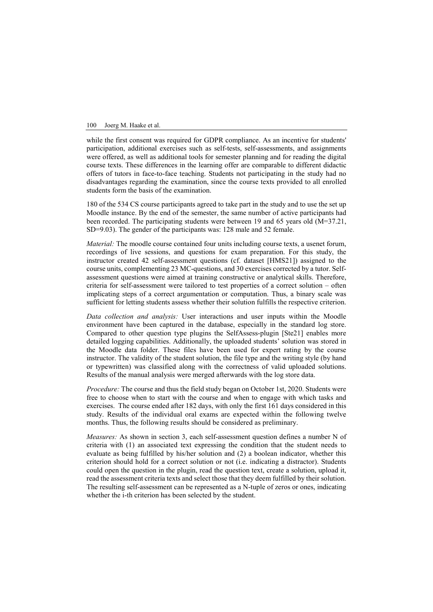while the first consent was required for GDPR compliance. As an incentive for students' participation, additional exercises such as self-tests, self-assessments, and assignments were offered, as well as additional tools for semester planning and for reading the digital course texts. These differences in the learning offer are comparable to different didactic offers of tutors in face-to-face teaching. Students not participating in the study had no disadvantages regarding the examination, since the course texts provided to all enrolled students form the basis of the examination.

180 of the 534 CS course participants agreed to take part in the study and to use the set up Moodle instance. By the end of the semester, the same number of active participants had been recorded. The participating students were between 19 and 65 years old (M=37.21, SD=9.03). The gender of the participants was: 128 male and 52 female.

*Material:* The moodle course contained four units including course texts, a usenet forum, recordings of live sessions, and questions for exam preparation. For this study, the instructor created 42 self-assessment questions (cf. dataset [HMS21]) assigned to the course units, complementing 23 MC-questions, and 30 exercises corrected by a tutor. Selfassessment questions were aimed at training constructive or analytical skills. Therefore, criteria for self-assessment were tailored to test properties of a correct solution – often implicating steps of a correct argumentation or computation. Thus, a binary scale was sufficient for letting students assess whether their solution fulfills the respective criterion.

*Data collection and analysis:* User interactions and user inputs within the Moodle environment have been captured in the database, especially in the standard log store. Compared to other question type plugins the SelfAssess-plugin [Ste21] enables more detailed logging capabilities. Additionally, the uploaded students' solution was stored in the Moodle data folder. These files have been used for expert rating by the course instructor. The validity of the student solution, the file type and the writing style (by hand or typewritten) was classified along with the correctness of valid uploaded solutions. Results of the manual analysis were merged afterwards with the log store data.

*Procedure:* The course and thus the field study began on October 1st, 2020. Students were free to choose when to start with the course and when to engage with which tasks and exercises. The course ended after 182 days, with only the first 161 days considered in this study. Results of the individual oral exams are expected within the following twelve months. Thus, the following results should be considered as preliminary.

*Measures:* As shown in section 3, each self-assessment question defines a number N of criteria with (1) an associated text expressing the condition that the student needs to evaluate as being fulfilled by his/her solution and (2) a boolean indicator, whether this criterion should hold for a correct solution or not (i.e. indicating a distractor). Students could open the question in the plugin, read the question text, create a solution, upload it, read the assessment criteria texts and select those that they deem fulfilled by their solution. The resulting self-assessment can be represented as a N-tuple of zeros or ones, indicating whether the i-th criterion has been selected by the student.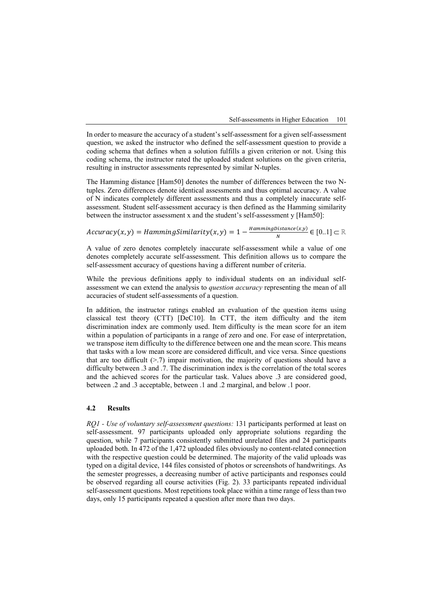

In order to measure the accuracy of a student's self-assessment for a given self-assessment question, we asked the instructor who defined the self-assessment question to provide a coding schema that defines when a solution fulfills a given criterion or not. Using this coding schema, the instructor rated the uploaded student solutions on the given criteria, resulting in instructor assessments represented by similar N-tuples.

The Hamming distance [Ham50] denotes the number of differences between the two Ntuples. Zero differences denote identical assessments and thus optimal accuracy. A value of N indicates completely different assessments and thus a completely inaccurate selfassessment. Student self-assessment accuracy is then defined as the Hamming similarity between the instructor assessment x and the student's self-assessment y [Ham50]:

 $Accuracy(x, y) = HammingSimilarity(x, y) = 1 - \frac{HammingDistance(x, y)}{N} \in [0..1] \subset \mathbb{R}$ 

A value of zero denotes completely inaccurate self-assessment while a value of one denotes completely accurate self-assessment. This definition allows us to compare the self-assessment accuracy of questions having a different number of criteria.

While the previous definitions apply to individual students on an individual selfassessment we can extend the analysis to *question accuracy* representing the mean of all accuracies of student self-assessments of a question.

In addition, the instructor ratings enabled an evaluation of the question items using classical test theory (CTT) [DeC10]. In CTT, the item difficulty and the item discrimination index are commonly used. Item difficulty is the mean score for an item within a population of participants in a range of zero and one. For ease of interpretation, we transpose item difficulty to the difference between one and the mean score. This means that tasks with a low mean score are considered difficult, and vice versa. Since questions that are too difficult  $(> 7)$  impair motivation, the majority of questions should have a difficulty between .3 and .7. The discrimination index is the correlation of the total scores and the achieved scores for the particular task. Values above .3 are considered good, between .2 and .3 acceptable, between .1 and .2 marginal, and below .1 poor.

### **4.2 Results**

*RQ1 - Use of voluntary self-assessment questions:* 131 participants performed at least on self-assessment. 97 participants uploaded only appropriate solutions regarding the question, while 7 participants consistently submitted unrelated files and 24 participants uploaded both. In 472 of the 1,472 uploaded files obviously no content-related connection with the respective question could be determined. The majority of the valid uploads was typed on a digital device, 144 files consisted of photos or screenshots of handwritings. As the semester progresses, a decreasing number of active participants and responses could be observed regarding all course activities (Fig. 2). 33 participants repeated individual self-assessment questions. Most repetitions took place within a time range of less than two days, only 15 participants repeated a question after more than two days.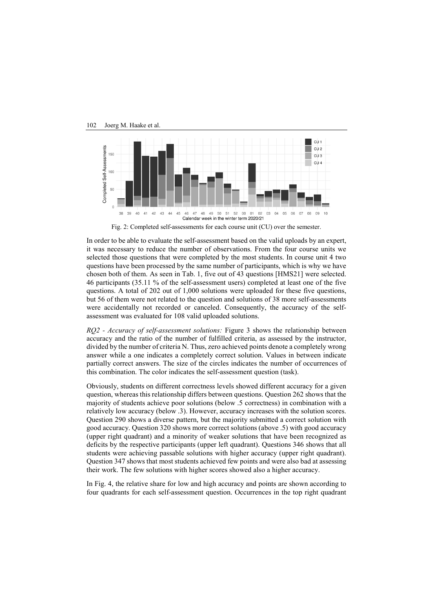

In order to be able to evaluate the self-assessment based on the valid uploads by an expert,

it was necessary to reduce the number of observations. From the four course units we selected those questions that were completed by the most students. In course unit 4 two questions have been processed by the same number of participants, which is why we have chosen both of them. As seen in Tab. 1, five out of 43 questions [HMS21] were selected. 46 participants (35.11 % of the self-assessment users) completed at least one of the five questions. A total of 202 out of 1,000 solutions were uploaded for these five questions, but 56 of them were not related to the question and solutions of 38 more self-assessments were accidentally not recorded or canceled. Consequently, the accuracy of the selfassessment was evaluated for 108 valid uploaded solutions.

*RQ2 - Accuracy of self-assessment solutions:* Figure 3 shows the relationship between accuracy and the ratio of the number of fulfilled criteria, as assessed by the instructor, divided by the number of criteria N. Thus, zero achieved points denote a completely wrong answer while a one indicates a completely correct solution. Values in between indicate partially correct answers. The size of the circles indicates the number of occurrences of this combination. The color indicates the self-assessment question (task).

Obviously, students on different correctness levels showed different accuracy for a given question, whereas this relationship differs between questions. Question 262 shows that the majority of students achieve poor solutions (below .5 correctness) in combination with a relatively low accuracy (below .3). However, accuracy increases with the solution scores. Question 290 shows a diverse pattern, but the majority submitted a correct solution with good accuracy. Question 320 shows more correct solutions (above .5) with good accuracy (upper right quadrant) and a minority of weaker solutions that have been recognized as deficits by the respective participants (upper left quadrant). Questions 346 shows that all students were achieving passable solutions with higher accuracy (upper right quadrant). Question 347 shows that most students achieved few points and were also bad at assessing their work. The few solutions with higher scores showed also a higher accuracy.

In Fig. 4, the relative share for low and high accuracy and points are shown according to four quadrants for each self-assessment question. Occurrences in the top right quadrant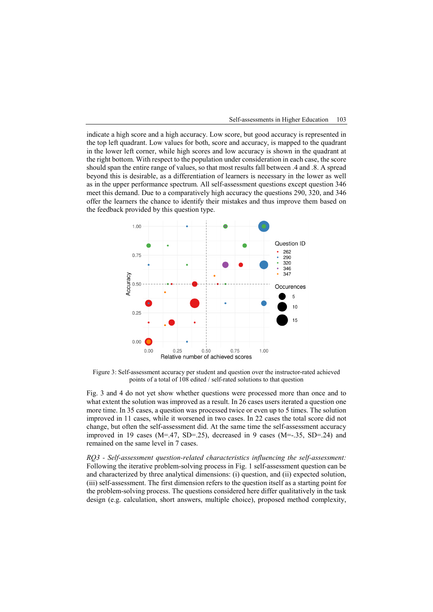

indicate a high score and a high accuracy. Low score, but good accuracy is represented in the top left quadrant. Low values for both, score and accuracy, is mapped to the quadrant in the lower left corner, while high scores and low accuracy is shown in the quadrant at the right bottom. With respect to the population under consideration in each case, the score should span the entire range of values, so that most results fall between .4 and .8. A spread beyond this is desirable, as a differentiation of learners is necessary in the lower as well as in the upper performance spectrum. All self-assessment questions except question 346 meet this demand. Due to a comparatively high accuracy the questions 290, 320, and 346 offer the learners the chance to identify their mistakes and thus improve them based on the feedback provided by this question type.



Figure 3: Self-assessment accuracy per student and question over the instructor-rated achieved points of a total of 108 edited / self-rated solutions to that question

Fig. 3 and 4 do not yet show whether questions were processed more than once and to what extent the solution was improved as a result. In 26 cases users iterated a question one more time. In 35 cases, a question was processed twice or even up to 5 times. The solution improved in 11 cases, while it worsened in two cases. In 22 cases the total score did not change, but often the self-assessment did. At the same time the self-assessment accuracy improved in 19 cases (M=.47, SD=.25), decreased in 9 cases (M=-.35, SD=.24) and remained on the same level in 7 cases.

*RQ3 - Self-assessment question-related characteristics influencing the self-assessment:*  Following the iterative problem-solving process in Fig. 1 self-assessment question can be and characterized by three analytical dimensions: (i) question, and (ii) expected solution, (iii) self-assessment. The first dimension refers to the question itself as a starting point for the problem-solving process. The questions considered here differ qualitatively in the task design (e.g. calculation, short answers, multiple choice), proposed method complexity,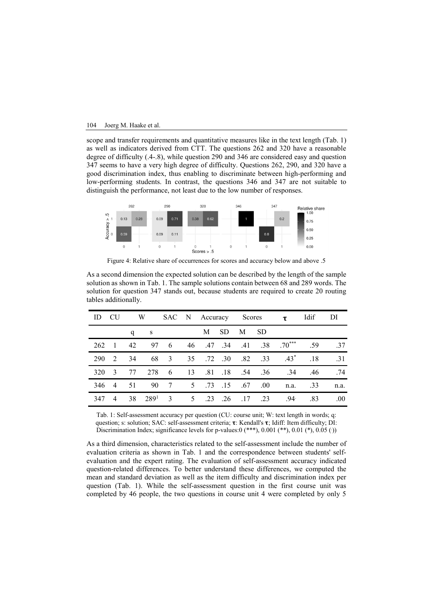scope and transfer requirements and quantitative measures like in the text length (Tab. 1) as well as indicators derived from CTT. The questions 262 and 320 have a reasonable degree of difficulty (.4-.8), while question 290 and 346 are considered easy and question 347 seems to have a very high degree of difficulty. Questions 262, 290, and 320 have a good discrimination index, thus enabling to discriminate between high-performing and low-performing students. In contrast, the questions 346 and 347 are not suitable to distinguish the performance, not least due to the low number of responses.



Figure 4: Relative share of occurrences for scores and accuracy below and above .5

| As a second dimension the expected solution can be described by the length of the sample                         |
|------------------------------------------------------------------------------------------------------------------|
| solution as shown in Tab. 1. The sample solutions contain between 68 and 289 words. The                          |
| solution for question 347 stands out, because students are required to create 20 routing<br>tables additionally. |

| ID    | CU                      |    |                |  |   |     | W SAC N Accuracy Scores <b>t</b> Idif |                            |                                                 |     | DI   |
|-------|-------------------------|----|----------------|--|---|-----|---------------------------------------|----------------------------|-------------------------------------------------|-----|------|
|       |                         |    | q $\mathbf{s}$ |  | M | SD. | M SD                                  |                            |                                                 |     |      |
|       |                         |    |                |  |   |     |                                       |                            | 262 1 42 97 6 46 .47 .34 .41 .38 .70*** .59 .37 |     |      |
| - 290 | 2 34                    |    |                |  |   |     |                                       |                            | 68 3 35 .72 .30 .82 .33 .43* .18                |     | .31  |
| 320   | $\overline{\mathbf{3}}$ | 77 |                |  |   |     |                                       |                            | 278 6 13 .81 .18 .54 .36 .34 .46 .74            |     |      |
|       | 346 4 51                |    |                |  |   |     |                                       |                            | 90 7 5 .73 .15 .67 .00 n.a. .33                 |     | n.a. |
| 347   | $\overline{4}$          |    |                |  |   |     |                                       | 38 289 3 5 .23 .26 .17 .23 | .94                                             | .83 | .00. |
|       |                         |    |                |  |   |     |                                       |                            |                                                 |     |      |

Tab. 1: Self-assessment accuracy per question (CU: course unit; W: text length in words; q: question; s: solution; SAC: self-assessment criteria;  $\tau$ : Kendall's  $\tau$ ; Idiff: Item difficulty; DI: Discrimination Index; significance levels for p-values:0 (\*\*\*), 0.001 (\*\*), 0.01 (\*), 0.05 ())

As a third dimension, characteristics related to the self-assessment include the number of evaluation criteria as shown in Tab. 1 and the correspondence between students' selfevaluation and the expert rating. The evaluation of self-assessment accuracy indicated question-related differences. To better understand these differences, we computed the mean and standard deviation as well as the item difficulty and discrimination index per question (Tab. 1). While the self-assessment question in the first course unit was completed by 46 people, the two questions in course unit 4 were completed by only 5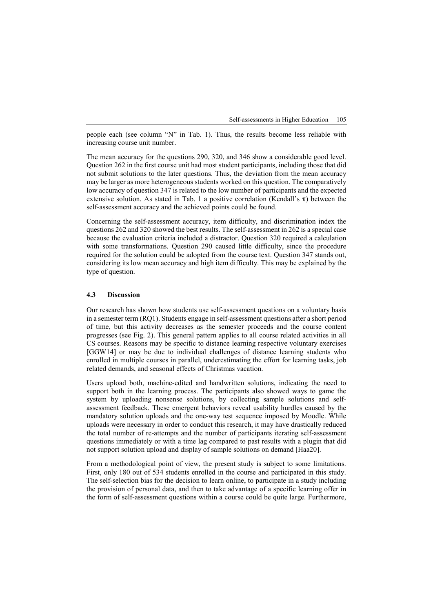Self-assessments in Higher Education 105

people each (see column "N" in Tab. 1). Thus, the results become less reliable with increasing course unit number.

The mean accuracy for the questions 290, 320, and 346 show a considerable good level. Question 262 in the first course unit had most student participants, including those that did not submit solutions to the later questions. Thus, the deviation from the mean accuracy may be larger as more heterogeneous students worked on this question. The comparatively low accuracy of question 347 is related to the low number of participants and the expected extensive solution. As stated in Tab. 1 a positive correlation (Kendall's  $\tau$ ) between the self-assessment accuracy and the achieved points could be found.

Concerning the self-assessment accuracy, item difficulty, and discrimination index the questions 262 and 320 showed the best results. The self-assessment in 262 is a special case because the evaluation criteria included a distractor. Question 320 required a calculation with some transformations. Question 290 caused little difficulty, since the procedure required for the solution could be adopted from the course text. Question 347 stands out, considering its low mean accuracy and high item difficulty. This may be explained by the type of question.

### **4.3 Discussion**

Our research has shown how students use self-assessment questions on a voluntary basis in a semester term (RQ1). Students engage in self-assessment questions after a short period of time, but this activity decreases as the semester proceeds and the course content progresses (see Fig. 2). This general pattern applies to all course related activities in all CS courses. Reasons may be specific to distance learning respective voluntary exercises [GGW14] or may be due to individual challenges of distance learning students who enrolled in multiple courses in parallel, underestimating the effort for learning tasks, job related demands, and seasonal effects of Christmas vacation.

Users upload both, machine-edited and handwritten solutions, indicating the need to support both in the learning process. The participants also showed ways to game the system by uploading nonsense solutions, by collecting sample solutions and selfassessment feedback. These emergent behaviors reveal usability hurdles caused by the mandatory solution uploads and the one-way test sequence imposed by Moodle. While uploads were necessary in order to conduct this research, it may have drastically reduced the total number of re-attempts and the number of participants iterating self-assessment questions immediately or with a time lag compared to past results with a plugin that did not support solution upload and display of sample solutions on demand [Haa20].

From a methodological point of view, the present study is subject to some limitations. First, only 180 out of 534 students enrolled in the course and participated in this study. The self-selection bias for the decision to learn online, to participate in a study including the provision of personal data, and then to take advantage of a specific learning offer in the form of self-assessment questions within a course could be quite large. Furthermore,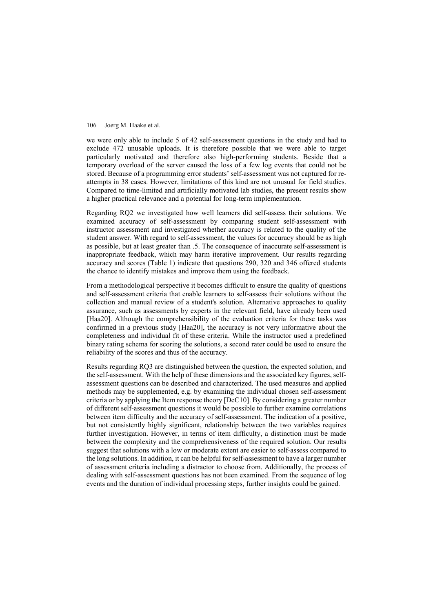we were only able to include 5 of 42 self-assessment questions in the study and had to exclude 472 unusable uploads. It is therefore possible that we were able to target particularly motivated and therefore also high-performing students. Beside that a temporary overload of the server caused the loss of a few log events that could not be stored. Because of a programming error students' self-assessment was not captured for reattempts in 38 cases. However, limitations of this kind are not unusual for field studies. Compared to time-limited and artificially motivated lab studies, the present results show a higher practical relevance and a potential for long-term implementation.

Regarding RQ2 we investigated how well learners did self-assess their solutions. We examined accuracy of self-assessment by comparing student self-assessment with instructor assessment and investigated whether accuracy is related to the quality of the student answer. With regard to self-assessment, the values for accuracy should be as high as possible, but at least greater than .5. The consequence of inaccurate self-assessment is inappropriate feedback, which may harm iterative improvement. Our results regarding accuracy and scores (Table 1) indicate that questions 290, 320 and 346 offered students the chance to identify mistakes and improve them using the feedback.

From a methodological perspective it becomes difficult to ensure the quality of questions and self-assessment criteria that enable learners to self-assess their solutions without the collection and manual review of a student's solution. Alternative approaches to quality assurance, such as assessments by experts in the relevant field, have already been used [Haa20]. Although the comprehensibility of the evaluation criteria for these tasks was confirmed in a previous study [Haa20], the accuracy is not very informative about the completeness and individual fit of these criteria. While the instructor used a predefined binary rating schema for scoring the solutions, a second rater could be used to ensure the reliability of the scores and thus of the accuracy.

Results regarding RQ3 are distinguished between the question, the expected solution, and the self-assessment. With the help of these dimensions and the associated key figures, selfassessment questions can be described and characterized. The used measures and applied methods may be supplemented, e.g. by examining the individual chosen self-assessment criteria or by applying the Item response theory [DeC10]. By considering a greater number of different self-assessment questions it would be possible to further examine correlations between item difficulty and the accuracy of self-assessment. The indication of a positive, but not consistently highly significant, relationship between the two variables requires further investigation. However, in terms of item difficulty, a distinction must be made between the complexity and the comprehensiveness of the required solution. Our results suggest that solutions with a low or moderate extent are easier to self-assess compared to the long solutions. In addition, it can be helpful for self-assessment to have a larger number of assessment criteria including a distractor to choose from. Additionally, the process of dealing with self-assessment questions has not been examined. From the sequence of log events and the duration of individual processing steps, further insights could be gained.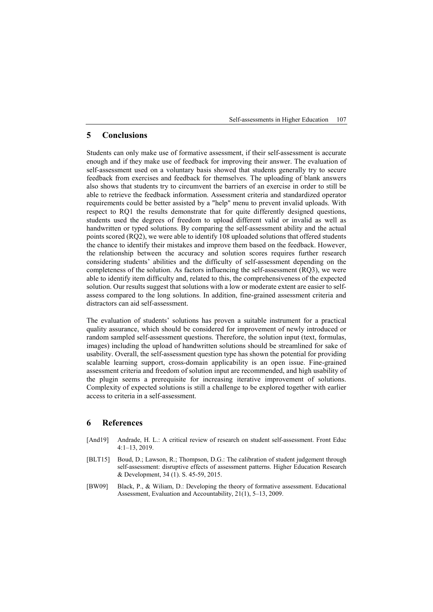Self-assessments in Higher Education 107

## **5 Conclusions**

Students can only make use of formative assessment, if their self-assessment is accurate enough and if they make use of feedback for improving their answer. The evaluation of self-assessment used on a voluntary basis showed that students generally try to secure feedback from exercises and feedback for themselves. The uploading of blank answers also shows that students try to circumvent the barriers of an exercise in order to still be able to retrieve the feedback information. Assessment criteria and standardized operator requirements could be better assisted by a "help" menu to prevent invalid uploads. With respect to RQ1 the results demonstrate that for quite differently designed questions, students used the degrees of freedom to upload different valid or invalid as well as handwritten or typed solutions. By comparing the self-assessment ability and the actual points scored (RQ2), we were able to identify 108 uploaded solutions that offered students the chance to identify their mistakes and improve them based on the feedback. However, the relationship between the accuracy and solution scores requires further research considering students' abilities and the difficulty of self-assessment depending on the completeness of the solution. As factors influencing the self-assessment (RQ3), we were able to identify item difficulty and, related to this, the comprehensiveness of the expected solution. Our results suggest that solutions with a low or moderate extent are easier to selfassess compared to the long solutions. In addition, fine-grained assessment criteria and distractors can aid self-assessment.

The evaluation of students' solutions has proven a suitable instrument for a practical quality assurance, which should be considered for improvement of newly introduced or random sampled self-assessment questions. Therefore, the solution input (text, formulas, images) including the upload of handwritten solutions should be streamlined for sake of usability. Overall, the self-assessment question type has shown the potential for providing scalable learning support, cross-domain applicability is an open issue. Fine-grained assessment criteria and freedom of solution input are recommended, and high usability of the plugin seems a prerequisite for increasing iterative improvement of solutions. Complexity of expected solutions is still a challenge to be explored together with earlier access to criteria in a self-assessment.

### **6 References**

- [And19] Andrade, H. L.: A critical review of research on student self-assessment. Front Educ 4:1–13, 2019.
- [BLT15] Boud, D.; Lawson, R.; Thompson, D.G.: The calibration of student judgement through self-assessment: disruptive effects of assessment patterns. Higher Education Research & Development, 34 (1). S. 45-59, 2015.
- [BW09] Black, P., & Wiliam, D.: Developing the theory of formative assessment. Educational Assessment, Evaluation and Accountability, 21(1), 5–13, 2009.